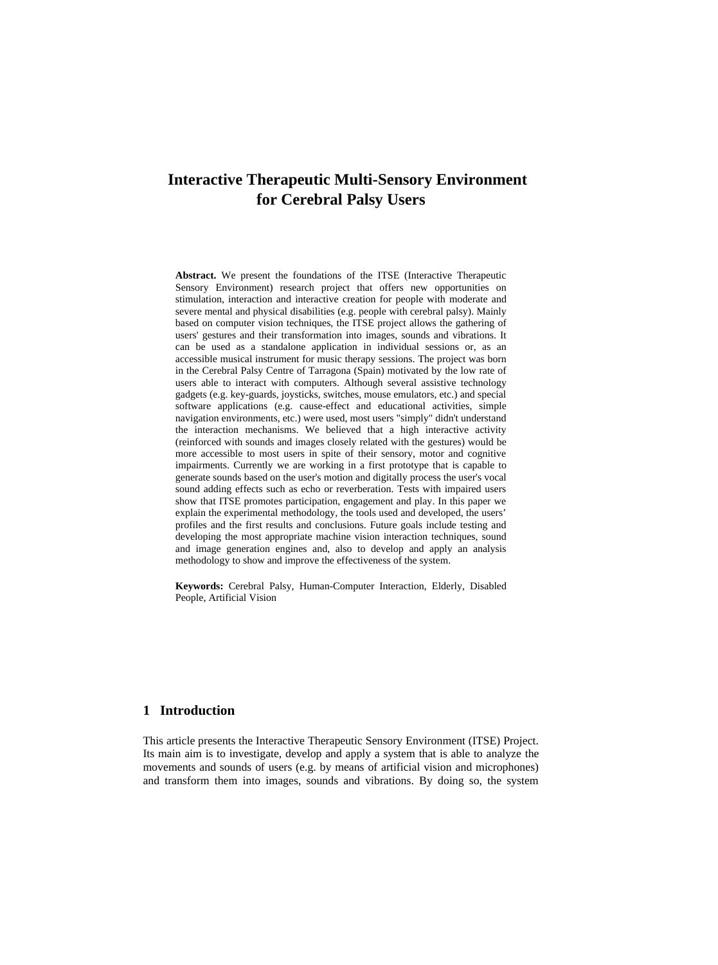# **Interactive Therapeutic Multi-Sensory Environment for Cerebral Palsy Users**

**Abstract.** We present the foundations of the ITSE (Interactive Therapeutic Sensory Environment) research project that offers new opportunities on stimulation, interaction and interactive creation for people with moderate and severe mental and physical disabilities (e.g. people with cerebral palsy). Mainly based on computer vision techniques, the ITSE project allows the gathering of users' gestures and their transformation into images, sounds and vibrations. It can be used as a standalone application in individual sessions or, as an accessible musical instrument for music therapy sessions. The project was born in the Cerebral Palsy Centre of Tarragona (Spain) motivated by the low rate of users able to interact with computers. Although several assistive technology gadgets (e.g. key-guards, joysticks, switches, mouse emulators, etc.) and special software applications (e.g. cause-effect and educational activities, simple navigation environments, etc.) were used, most users "simply" didn't understand the interaction mechanisms. We believed that a high interactive activity (reinforced with sounds and images closely related with the gestures) would be more accessible to most users in spite of their sensory, motor and cognitive impairments. Currently we are working in a first prototype that is capable to generate sounds based on the user's motion and digitally process the user's vocal sound adding effects such as echo or reverberation. Tests with impaired users show that ITSE promotes participation, engagement and play. In this paper we explain the experimental methodology, the tools used and developed, the users' profiles and the first results and conclusions. Future goals include testing and developing the most appropriate machine vision interaction techniques, sound and image generation engines and, also to develop and apply an analysis methodology to show and improve the effectiveness of the system.

**Keywords:** Cerebral Palsy, Human-Computer Interaction, Elderly, Disabled People, Artificial Vision

## **1 Introduction**

This article presents the Interactive Therapeutic Sensory Environment (ITSE) Project. Its main aim is to investigate, develop and apply a system that is able to analyze the movements and sounds of users (e.g. by means of artificial vision and microphones) and transform them into images, sounds and vibrations. By doing so, the system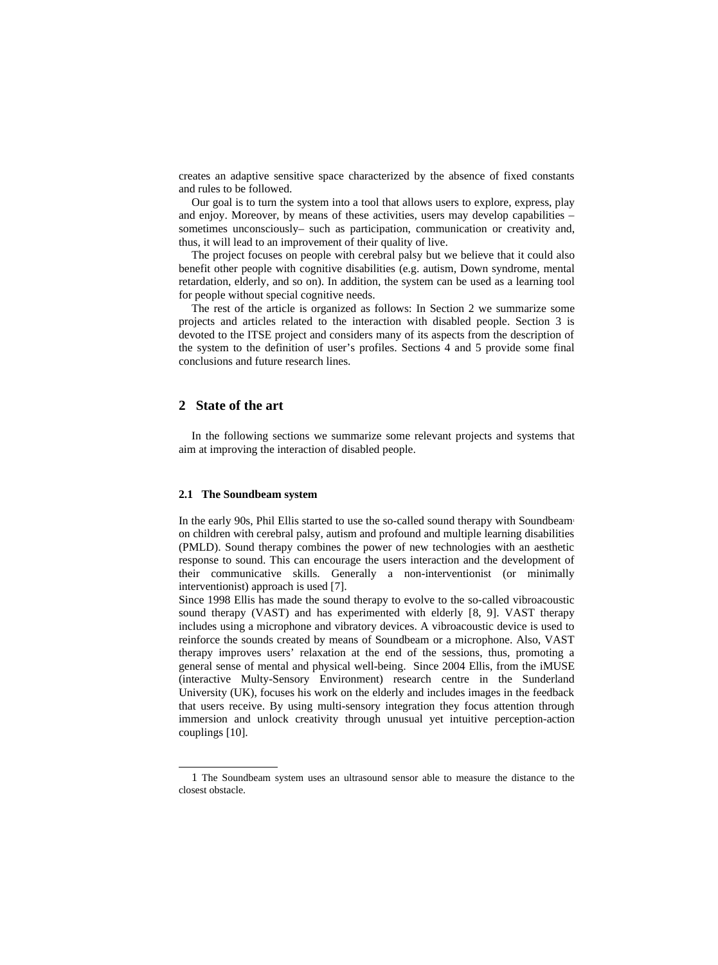creates an adaptive sensitive space characterized by the absence of fixed constants and rules to be followed.

Our goal is to turn the system into a tool that allows users to explore, express, play and enjoy. Moreover, by means of these activities, users may develop capabilities  $$ sometimes unconsciously– such as participation, communication or creativity and, thus, it will lead to an improvement of their quality of live.

The project focuses on people with cerebral palsy but we believe that it could also benefit other people with cognitive disabilities (e.g. autism, Down syndrome, mental retardation, elderly, and so on). In addition, the system can be used as a learning tool for people without special cognitive needs.

The rest of the article is organized as follows: In Section 2 we summarize some projects and articles related to the interaction with disabled people. Section 3 is devoted to the ITSE project and considers many of its aspects from the description of the system to the definition of user's profiles. Sections 4 and 5 provide some final conclusions and future research lines.

## **2 State of the art**

In the following sections we summarize some relevant projects and systems that aim at improving the interaction of disabled people.

### **2.1 The Soundbeam system**

In the early 90s, Phil Ellis started to use the so-called sound therapy with Soundbea[m](#page-1-0) on children with cerebral palsy, autism and profound and multiple learning disabilities (PMLD). Sound therapy combines the power of new technologies with an aesthetic response to sound. This can encourage the users interaction and the development of their communicative skills. Generally a non-interventionist (or minimally interventionist) approach is used [\[7\]](#page-9-0).

Since 1998 Ellis has made the sound therapy to evolve to the so-called vibroacoustic sound therapy (VAST) and has experimented with elderly [\[8,](#page-9-3) [9\]](#page-9-2). VAST therapy includes using a microphone and vibratory devices. A vibroacoustic device is used to reinforce the sounds created by means of Soundbeam or a microphone. Also, VAST therapy improves users' relaxation at the end of the sessions, thus, promoting a general sense of mental and physical well-being. Since 2004 Ellis, from the iMUSE (interactive Multy-Sensory Environment) research centre in the Sunderland University (UK), focuses his work on the elderly and includes images in the feedback that users receive. By using multi-sensory integration they focus attention through immersion and unlock creativity through unusual yet intuitive perception-action couplings [\[10\]](#page-9-1).

<span id="page-1-0"></span><sup>1</sup> The Soundbeam system uses an ultrasound sensor able to measure the distance to the closest obstacle.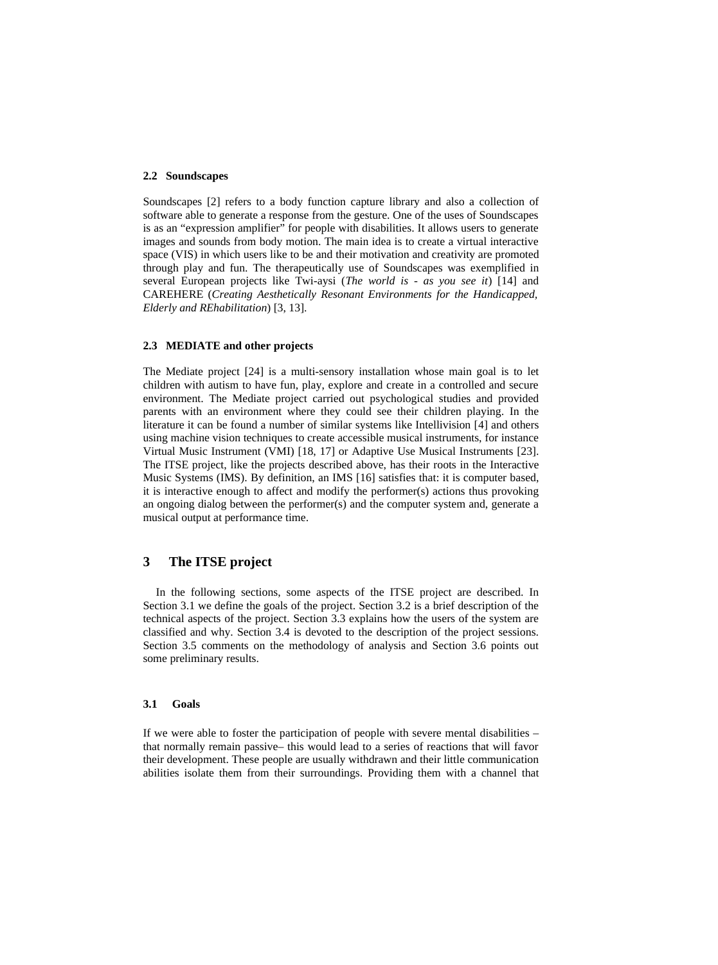## **2.2 Soundscapes**

Soundscapes [\[2\]](#page-9-6) refers to a body function capture library and also a collection of software able to generate a response from the gesture. One of the uses of Soundscapes is as an "expression amplifier" for people with disabilities. It allows users to generate images and sounds from body motion. The main idea is to create a virtual interactive space (VIS) in which users like to be and their motivation and creativity are promoted through play and fun. The therapeutically use of Soundscapes was exemplified in several European projects like Twi-aysi (*The world is - as you see it*) [\[14\]](#page-10-4) and CAREHERE (*Creating Aesthetically Resonant Environments for the Handicapped, Elderly and REhabilitation*) [\[3,](#page-9-5) [13\]](#page-10-3).

#### **2.3 MEDIATE and other projects**

The Mediate project [24] is a multi-sensory installation whose main goal is to let children with autism to have fun, play, explore and create in a controlled and secure environment. The Mediate project carried out psychological studies and provided parents with an environment where they could see their children playing. In the literature it can be found a number of similar systems like Intellivision [\[4\]](#page-9-4) and others using machine vision techniques to create accessible musical instruments, for instance Virtual Music Instrument (VMI) [\[18,](#page-10-2) [17\]](#page-10-1) or Adaptive Use Musical Instruments [\[23\]](#page-11-0). The ITSE project, like the projects described above, has their roots in the Interactive Music Systems (IMS). By definition, an IMS [\[16\]](#page-10-0) satisfies that: it is computer based, it is interactive enough to affect and modify the performer(s) actions thus provoking an ongoing dialog between the performer(s) and the computer system and, generate a musical output at performance time.

## **3 The ITSE project**

In the following sections, some aspects of the ITSE project are described. In Section 3.1 we define the goals of the project. Section 3.2 is a brief description of the technical aspects of the project. Section 3.3 explains how the users of the system are classified and why. Section 3.4 is devoted to the description of the project sessions. Section 3.5 comments on the methodology of analysis and Section 3.6 points out some preliminary results.

#### **3.1 Goals**

If we were able to foster the participation of people with severe mental disabilities – that normally remain passive– this would lead to a series of reactions that will favor their development. These people are usually withdrawn and their little communication abilities isolate them from their surroundings. Providing them with a channel that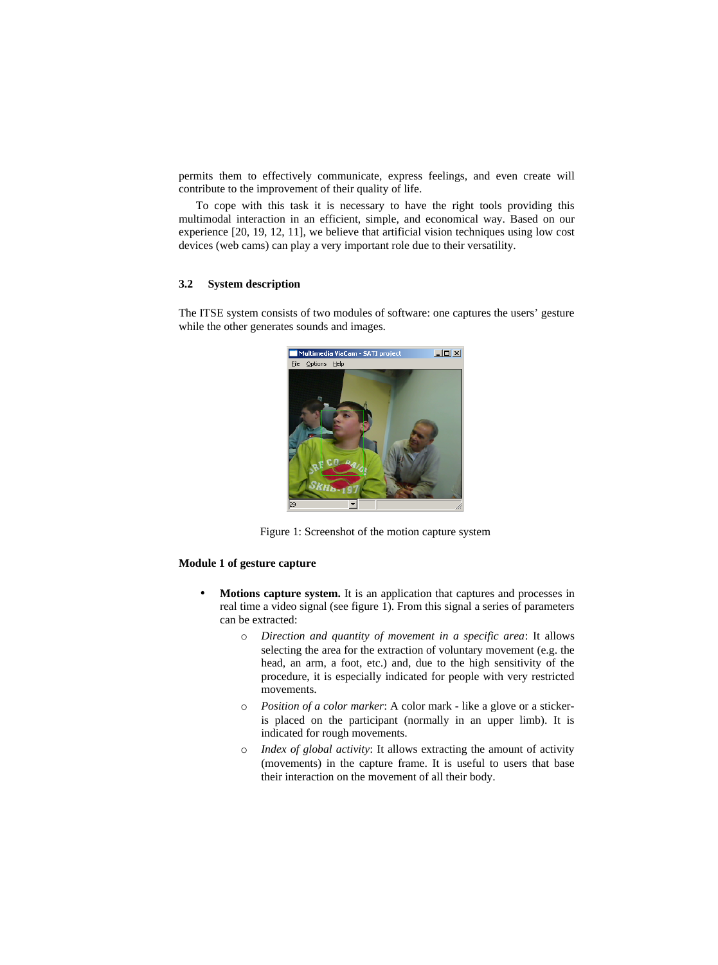permits them to effectively communicate, express feelings, and even create will contribute to the improvement of their quality of life.

To cope with this task it is necessary to have the right tools providing this multimodal interaction in an efficient, simple, and economical way. Based on our experience [\[20,](#page-10-8) [19,](#page-10-7) [12,](#page-10-6) [11\]](#page-10-5), we believe that artificial vision techniques using low cost devices (web cams) can play a very important role due to their versatility.

### **3.2 System description**

The ITSE system consists of two modules of software: one captures the users' gesture while the other generates sounds and images.



Figure 1: Screenshot of the motion capture system

## **Module 1 of gesture capture**

- <span id="page-3-0"></span>• **Motions capture system.** It is an application that captures and processes in real time a video signal (see figure [1\)](#page-3-0). From this signal a series of parameters can be extracted:
	- o *Direction and quantity of movement in a specific area*: It allows selecting the area for the extraction of voluntary movement (e.g. the head, an arm, a foot, etc.) and, due to the high sensitivity of the procedure, it is especially indicated for people with very restricted movements.
	- o *Position of a color marker*: A color mark like a glove or a stickeris placed on the participant (normally in an upper limb). It is indicated for rough movements.
	- o *Index of global activity*: It allows extracting the amount of activity (movements) in the capture frame. It is useful to users that base their interaction on the movement of all their body.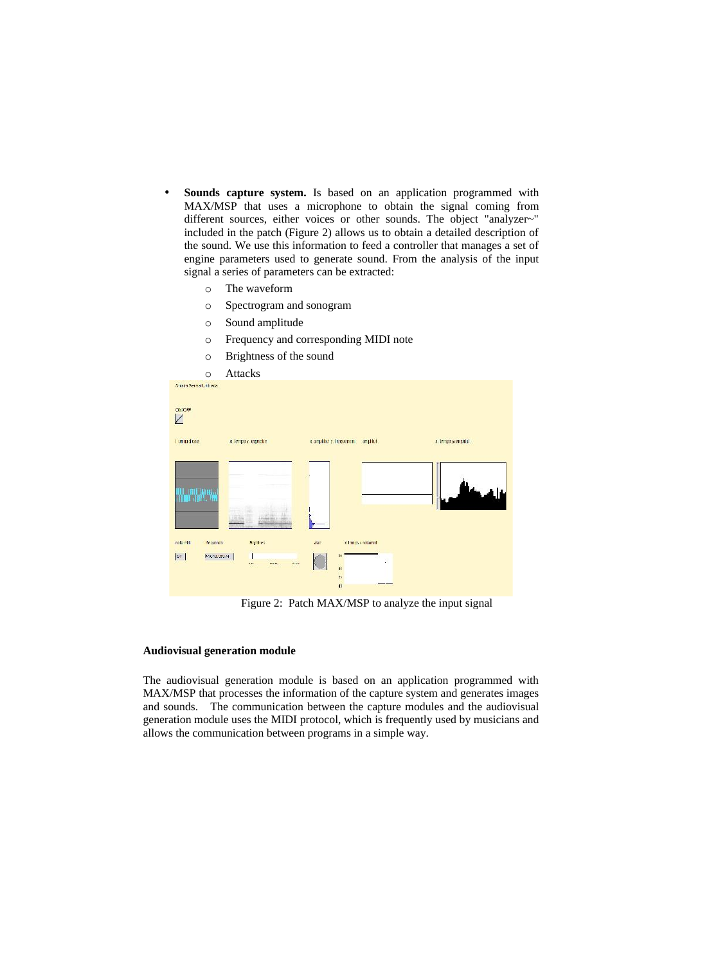- **Sounds capture system.** Is based on an application programmed with MAX/MSP that uses a microphone to obtain the signal coming from different sources, either voices or other sounds. The object "analyzer~" included in the patch (Figure 2) allows us to obtain a detailed description of the sound. We use this information to feed a controller that manages a set of engine parameters used to generate sound. From the analysis of the input signal a series of parameters can be extracted:
	- o The waveform
	- o Spectrogram and sonogram
	- o Sound amplitude
	- o Frequency and corresponding MIDI note
	- o Brightness of the sound



Figure 2: Patch MAX/MSP to analyze the input signal

## **Audiovisual generation module**

The audiovisual generation module is based on an application programmed with MAX/MSP that processes the information of the capture system and generates images and sounds. The communication between the capture modules and the audiovisual generation module uses the MIDI protocol, which is frequently used by musicians and allows the communication between programs in a simple way.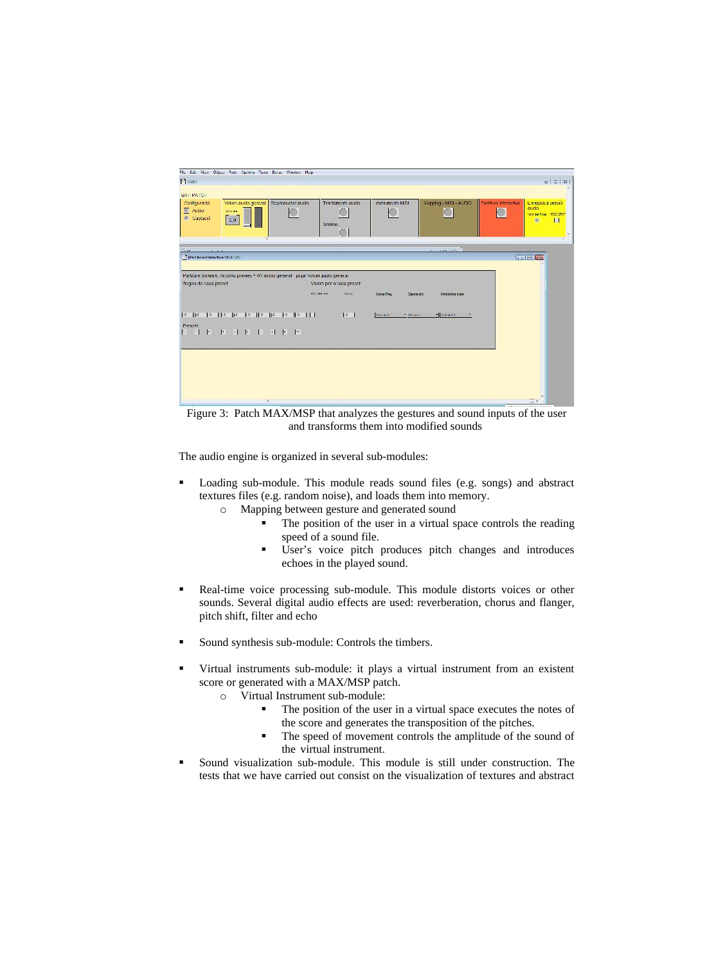

Figure 3: Patch MAX/MSP that analyzes the gestures and sound inputs of the user and transforms them into modified sounds

The audio engine is organized in several sub-modules:

- Loading sub-module. This module reads sound files (e.g. songs) and abstract textures files (e.g. random noise), and loads them into memory.
	- o Mapping between gesture and generated sound
		- The position of the user in a virtual space controls the reading speed of a sound file.
		- User's voice pitch produces pitch changes and introduces echoes in the played sound.
- Real-time voice processing sub-module. This module distorts voices or other sounds. Several digital audio effects are used: reverberation, chorus and flanger, pitch shift, filter and echo
- Sound synthesis sub-module: Controls the timbers.
- Virtual instruments sub-module: it plays a virtual instrument from an existent score or generated with a MAX/MSP patch.
	- o Virtual Instrument sub-module:
		- The position of the user in a virtual space executes the notes of the score and generates the transposition of the pitches.
		- The speed of movement controls the amplitude of the sound of the virtual instrument.
- Sound visualization sub-module. This module is still under construction. The tests that we have carried out consist on the visualization of textures and abstract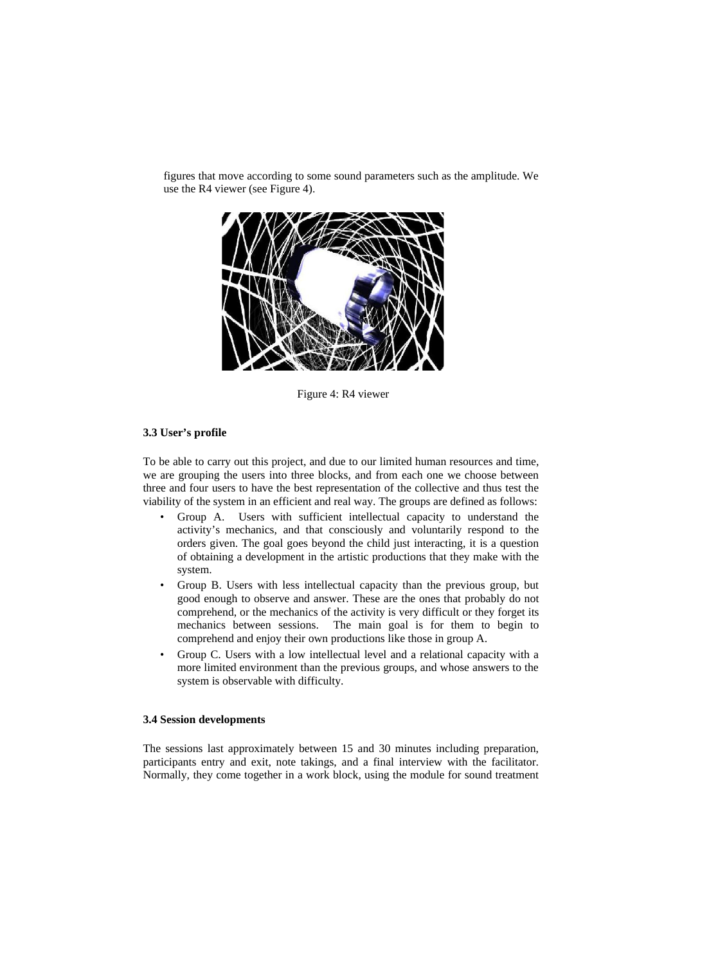

figures that move according to some sound parameters such as the amplitude. We use the R4 viewer (see Figure 4).

Figure 4: R4 viewer

#### **3.3 User's profile**

To be able to carry out this project, and due to our limited human resources and time, we are grouping the users into three blocks, and from each one we choose between three and four users to have the best representation of the collective and thus test the viability of the system in an efficient and real way. The groups are defined as follows:

- Group A. Users with sufficient intellectual capacity to understand the activity's mechanics, and that consciously and voluntarily respond to the orders given. The goal goes beyond the child just interacting, it is a question of obtaining a development in the artistic productions that they make with the system.
- Group B. Users with less intellectual capacity than the previous group, but good enough to observe and answer. These are the ones that probably do not comprehend, or the mechanics of the activity is very difficult or they forget its mechanics between sessions. The main goal is for them to begin to comprehend and enjoy their own productions like those in group A.
- Group C. Users with a low intellectual level and a relational capacity with a more limited environment than the previous groups, and whose answers to the system is observable with difficulty.

### **3.4 Session developments**

The sessions last approximately between 15 and 30 minutes including preparation, participants entry and exit, note takings, and a final interview with the facilitator. Normally, they come together in a work block, using the module for sound treatment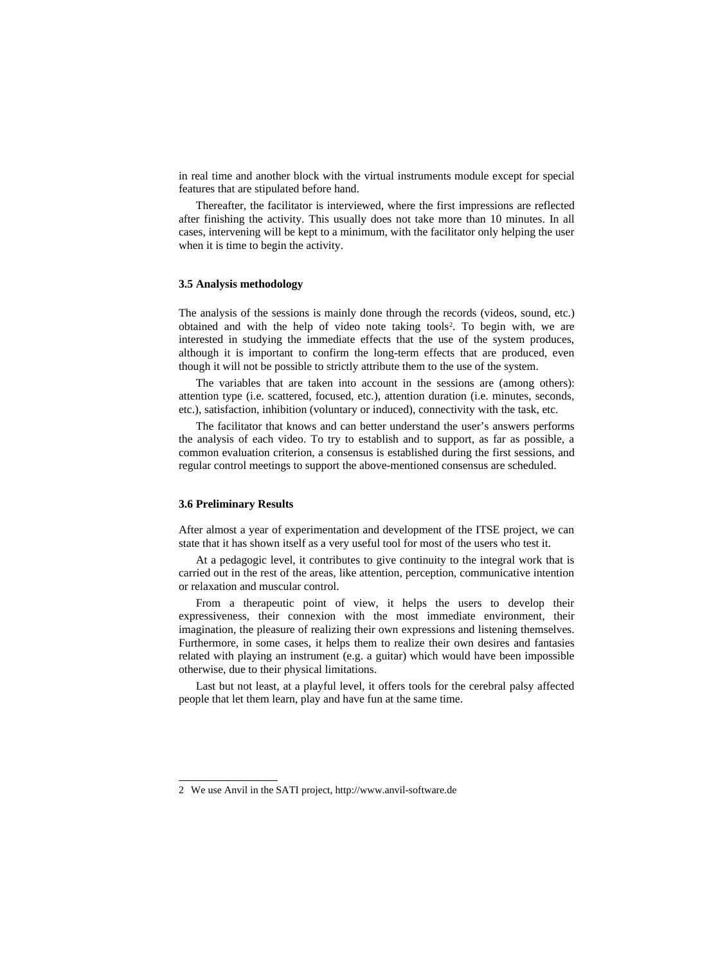in real time and another block with the virtual instruments module except for special features that are stipulated before hand.

Thereafter, the facilitator is interviewed, where the first impressions are reflected after finishing the activity. This usually does not take more than 10 minutes. In all cases, intervening will be kept to a minimum, with the facilitator only helping the user when it is time to begin the activity.

#### **3.5 Analysis methodology**

The analysis of the sessions is mainly done through the records (videos, sound, etc.) obtained and with the help of video note taking tools [2](#page-7-0) . To begin with, we are interested in studying the immediate effects that the use of the system produces, although it is important to confirm the long-term effects that are produced, even though it will not be possible to strictly attribute them to the use of the system.

The variables that are taken into account in the sessions are (among others): attention type (i.e. scattered, focused, etc.), attention duration (i.e. minutes, seconds, etc.), satisfaction, inhibition (voluntary or induced), connectivity with the task, etc.

The facilitator that knows and can better understand the user's answers performs the analysis of each video. To try to establish and to support, as far as possible, a common evaluation criterion, a consensus is established during the first sessions, and regular control meetings to support the above-mentioned consensus are scheduled.

#### **3.6 Preliminary Results**

After almost a year of experimentation and development of the ITSE project, we can state that it has shown itself as a very useful tool for most of the users who test it.

At a pedagogic level, it contributes to give continuity to the integral work that is carried out in the rest of the areas, like attention, perception, communicative intention or relaxation and muscular control.

From a therapeutic point of view, it helps the users to develop their expressiveness, their connexion with the most immediate environment, their imagination, the pleasure of realizing their own expressions and listening themselves. Furthermore, in some cases, it helps them to realize their own desires and fantasies related with playing an instrument (e.g. a guitar) which would have been impossible otherwise, due to their physical limitations.

Last but not least, at a playful level, it offers tools for the cerebral palsy affected people that let them learn, play and have fun at the same time.

<span id="page-7-0"></span><sup>2</sup> We use Anvil in the SATI project, http://www.anvil-software.de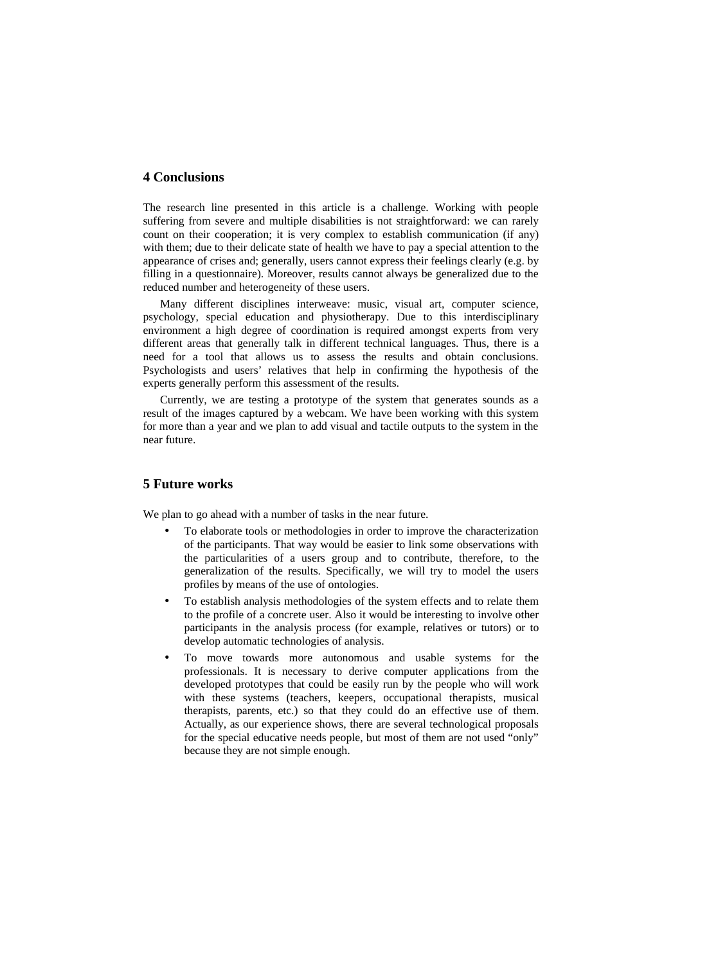## **4 Conclusions**

The research line presented in this article is a challenge. Working with people suffering from severe and multiple disabilities is not straightforward: we can rarely count on their cooperation; it is very complex to establish communication (if any) with them; due to their delicate state of health we have to pay a special attention to the appearance of crises and; generally, users cannot express their feelings clearly (e.g. by filling in a questionnaire). Moreover, results cannot always be generalized due to the reduced number and heterogeneity of these users.

Many different disciplines interweave: music, visual art, computer science, psychology, special education and physiotherapy. Due to this interdisciplinary environment a high degree of coordination is required amongst experts from very different areas that generally talk in different technical languages. Thus, there is a need for a tool that allows us to assess the results and obtain conclusions. Psychologists and users' relatives that help in confirming the hypothesis of the experts generally perform this assessment of the results.

Currently, we are testing a prototype of the system that generates sounds as a result of the images captured by a webcam. We have been working with this system for more than a year and we plan to add visual and tactile outputs to the system in the near future.

## **5 Future works**

We plan to go ahead with a number of tasks in the near future.

- To elaborate tools or methodologies in order to improve the characterization of the participants. That way would be easier to link some observations with the particularities of a users group and to contribute, therefore, to the generalization of the results. Specifically, we will try to model the users profiles by means of the use of ontologies.
- To establish analysis methodologies of the system effects and to relate them to the profile of a concrete user. Also it would be interesting to involve other participants in the analysis process (for example, relatives or tutors) or to develop automatic technologies of analysis.
- To move towards more autonomous and usable systems for the professionals. It is necessary to derive computer applications from the developed prototypes that could be easily run by the people who will work with these systems (teachers, keepers, occupational therapists, musical therapists, parents, etc.) so that they could do an effective use of them. Actually, as our experience shows, there are several technological proposals for the special educative needs people, but most of them are not used "only" because they are not simple enough.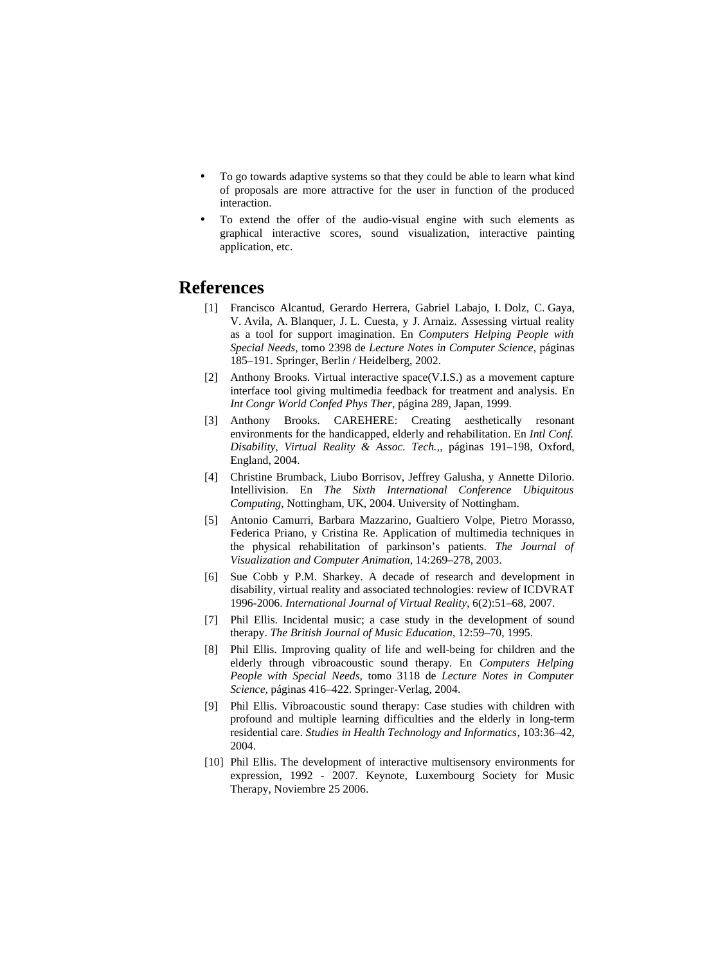- To go towards adaptive systems so that they could be able to learn what kind of proposals are more attractive for the user in function of the produced interaction.
- To extend the offer of the audio-visual engine with such elements as graphical interactive scores, sound visualization, interactive painting application, etc.

# **References**

- [1] Francisco Alcantud, Gerardo Herrera, Gabriel Labajo, I. Dolz, C. Gaya, V. Avila, A. Blanquer, J. L. Cuesta, y J. Arnaiz. Assessing virtual reality as a tool for support imagination. En *Computers Helping People with Special Needs*, tomo 2398 de *Lecture Notes in Computer Science*, páginas 185–191. Springer, Berlin / Heidelberg, 2002.
- <span id="page-9-6"></span>[2] Anthony Brooks. Virtual interactive space(V.I.S.) as a movement capture interface tool giving multimedia feedback for treatment and analysis. En *Int Congr World Confed Phys Ther*, página 289, Japan, 1999.
- <span id="page-9-5"></span>[3] Anthony Brooks. CAREHERE: Creating aesthetically resonant environments for the handicapped, elderly and rehabilitation. En *Intl Conf. Disability, Virtual Reality & Assoc. Tech.,*, páginas 191–198, Oxford, England, 2004.
- <span id="page-9-4"></span>[4] Christine Brumback, Liubo Borrisov, Jeffrey Galusha, y Annette DiIorio. Intellivision. En *The Sixth International Conference Ubiquitous Computing*, Nottingham, UK, 2004. University of Nottingham.
- [5] Antonio Camurri, Barbara Mazzarino, Gualtiero Volpe, Pietro Morasso, Federica Priano, y Cristina Re. Application of multimedia techniques in the physical rehabilitation of parkinson's patients. *The Journal of Visualization and Computer Animation*, 14:269–278, 2003.
- [6] Sue Cobb y P.M. Sharkey. A decade of research and development in disability, virtual reality and associated technologies: review of ICDVRAT 1996-2006. *International Journal of Virtual Reality*, 6(2):51–68, 2007.
- <span id="page-9-0"></span>[7] Phil Ellis. Incidental music; a case study in the development of sound therapy. *The British Journal of Music Education*, 12:59–70, 1995.
- <span id="page-9-3"></span>[8] Phil Ellis. Improving quality of life and well-being for children and the elderly through vibroacoustic sound therapy. En *Computers Helping People with Special Needs*, tomo 3118 de *Lecture Notes in Computer Science*, páginas 416–422. Springer-Verlag, 2004.
- <span id="page-9-2"></span>[9] Phil Ellis. Vibroacoustic sound therapy: Case studies with children with profound and multiple learning difficulties and the elderly in long-term residential care. *Studies in Health Technology and Informatics*, 103:36–42, 2004.
- <span id="page-9-1"></span>[10] Phil Ellis. The development of interactive multisensory environments for expression, 1992 - 2007. Keynote, Luxembourg Society for Music Therapy, Noviembre 25 2006.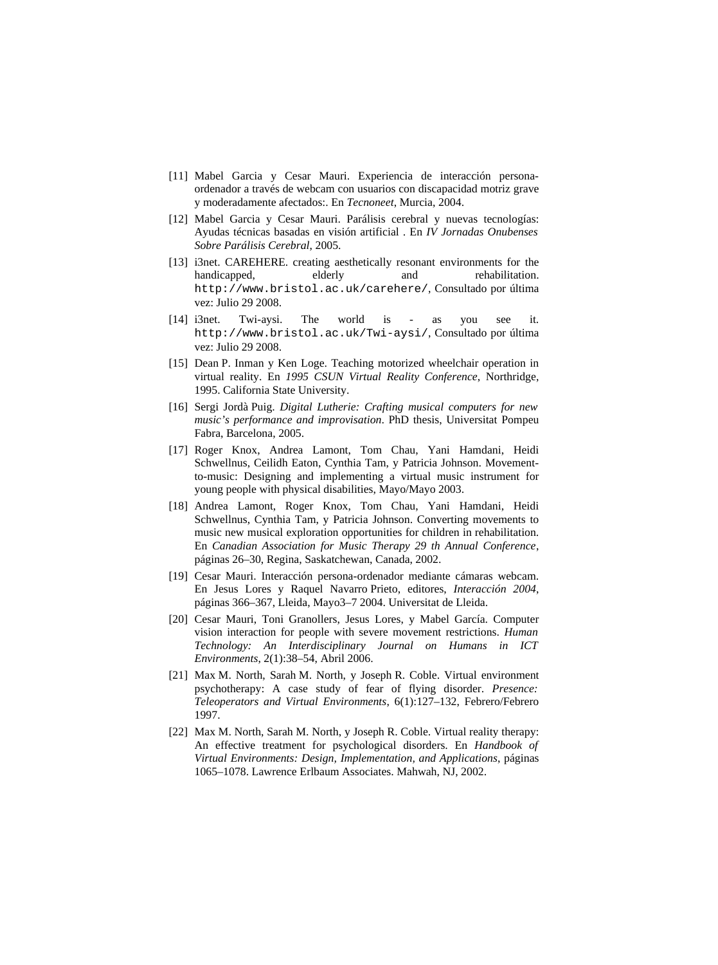- <span id="page-10-5"></span>[11] Mabel Garcia y Cesar Mauri. Experiencia de interacción personaordenador a través de webcam con usuarios con discapacidad motriz grave y moderadamente afectados:. En *Tecnoneet*, Murcia, 2004.
- <span id="page-10-6"></span>[12] Mabel Garcia y Cesar Mauri. Parálisis cerebral y nuevas tecnologías: Ayudas técnicas basadas en visión artificial . En *IV Jornadas Onubenses Sobre Parálisis Cerebral*, 2005.
- <span id="page-10-3"></span>[13] i3net. CAREHERE. creating aesthetically resonant environments for the handicapped, elderly and rehabilitation. http://www.bristol.ac.uk/carehere/, Consultado por última vez: Julio 29 2008.
- <span id="page-10-4"></span>[14] i3net. Twi-aysi. The world is - as you see it. http://www.bristol.ac.uk/Twi-aysi/, Consultado por última vez: Julio 29 2008.
- [15] Dean P. Inman y Ken Loge. Teaching motorized wheelchair operation in virtual reality. En *1995 CSUN Virtual Reality Conference*, Northridge, 1995. California State University.
- <span id="page-10-0"></span>[16] Sergi Jordà Puig. *Digital Lutherie: Crafting musical computers for new music's performance and improvisation*. PhD thesis, Universitat Pompeu Fabra, Barcelona, 2005.
- <span id="page-10-1"></span>[17] Roger Knox, Andrea Lamont, Tom Chau, Yani Hamdani, Heidi Schwellnus, Ceilidh Eaton, Cynthia Tam, y Patricia Johnson. Movementto-music: Designing and implementing a virtual music instrument for young people with physical disabilities, Mayo/Mayo 2003.
- <span id="page-10-2"></span>[18] Andrea Lamont, Roger Knox, Tom Chau, Yani Hamdani, Heidi Schwellnus, Cynthia Tam, y Patricia Johnson. Converting movements to music new musical exploration opportunities for children in rehabilitation. En *Canadian Association for Music Therapy 29 th Annual Conference*, páginas 26–30, Regina, Saskatchewan, Canada, 2002.
- <span id="page-10-7"></span>[19] Cesar Mauri. Interacción persona-ordenador mediante cámaras webcam. En Jesus Lores y Raquel Navarro Prieto, editores, *Interacción 2004*, páginas 366–367, Lleida, Mayo3–7 2004. Universitat de Lleida.
- <span id="page-10-8"></span>[20] Cesar Mauri, Toni Granollers, Jesus Lores, y Mabel García. Computer vision interaction for people with severe movement restrictions. *Human Technology: An Interdisciplinary Journal on Humans in ICT Environments*, 2(1):38–54, Abril 2006.
- [21] Max M. North, Sarah M. North, y Joseph R. Coble. Virtual environment psychotherapy: A case study of fear of flying disorder. *Presence: Teleoperators and Virtual Environments*, 6(1):127–132, Febrero/Febrero 1997.
- [22] Max M. North, Sarah M. North, y Joseph R. Coble. Virtual reality therapy: An effective treatment for psychological disorders. En *Handbook of Virtual Environments: Design, Implementation, and Applications*, páginas 1065–1078. Lawrence Erlbaum Associates. Mahwah, NJ, 2002.